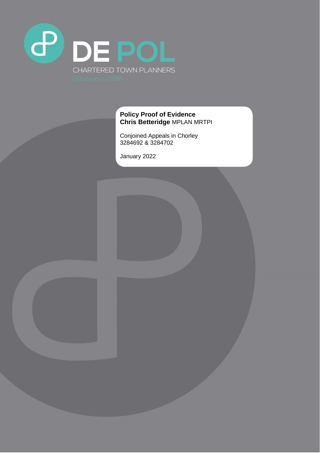

#### **Policy Proof of Evidence Chris Betteridge** MPLAN MRTPI

Conjoined Appeals in Chorley 3284692 & 3284702

January 2022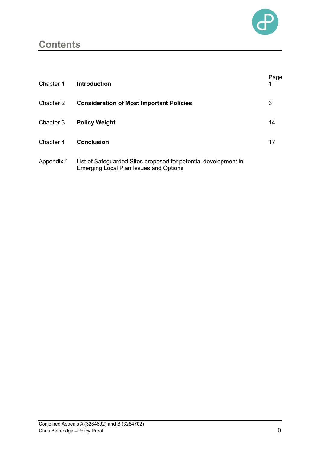

### **Contents**

| Chapter 1  | <b>Introduction</b>                                                                                       | Page |
|------------|-----------------------------------------------------------------------------------------------------------|------|
| Chapter 2  | <b>Consideration of Most Important Policies</b>                                                           | 3    |
| Chapter 3  | <b>Policy Weight</b>                                                                                      | 14   |
| Chapter 4  | <b>Conclusion</b>                                                                                         | 17   |
| Appendix 1 | List of Safeguarded Sites proposed for potential development in<br>Emerging Local Plan Issues and Options |      |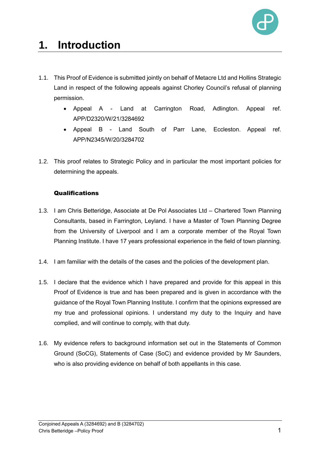

# **1. Introduction**

- 1.1. This Proof of Evidence is submitted jointly on behalf of Metacre Ltd and Hollins Strategic Land in respect of the following appeals against Chorley Council's refusal of planning permission.
	- Appeal A Land at Carrington Road, Adlington. Appeal ref. APP/D2320/W/21/3284692
	- Appeal B Land South of Parr Lane, Eccleston. Appeal ref. APP/N2345/W/20/3284702
- 1.2. This proof relates to Strategic Policy and in particular the most important policies for determining the appeals.

#### Qualifications

- 1.3. I am Chris Betteridge, Associate at De Pol Associates Ltd Chartered Town Planning Consultants, based in Farrington, Leyland. I have a Master of Town Planning Degree from the University of Liverpool and I am a corporate member of the Royal Town Planning Institute. I have 17 years professional experience in the field of town planning.
- 1.4. I am familiar with the details of the cases and the policies of the development plan.
- 1.5. I declare that the evidence which I have prepared and provide for this appeal in this Proof of Evidence is true and has been prepared and is given in accordance with the guidance of the Royal Town Planning Institute. I confirm that the opinions expressed are my true and professional opinions. I understand my duty to the Inquiry and have complied, and will continue to comply, with that duty.
- 1.6. My evidence refers to background information set out in the Statements of Common Ground (SoCG), Statements of Case (SoC) and evidence provided by Mr Saunders, who is also providing evidence on behalf of both appellants in this case.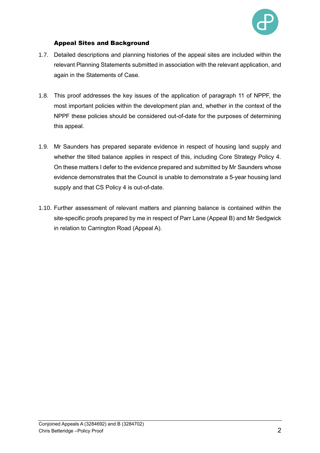

#### Appeal Sites and Background

- 1.7. Detailed descriptions and planning histories of the appeal sites are included within the relevant Planning Statements submitted in association with the relevant application, and again in the Statements of Case.
- 1.8. This proof addresses the key issues of the application of paragraph 11 of NPPF, the most important policies within the development plan and, whether in the context of the NPPF these policies should be considered out-of-date for the purposes of determining this appeal.
- 1.9. Mr Saunders has prepared separate evidence in respect of housing land supply and whether the tilted balance applies in respect of this, including Core Strategy Policy 4. On these matters I defer to the evidence prepared and submitted by Mr Saunders whose evidence demonstrates that the Council is unable to demonstrate a 5-year housing land supply and that CS Policy 4 is out-of-date.
- 1.10. Further assessment of relevant matters and planning balance is contained within the site-specific proofs prepared by me in respect of Parr Lane (Appeal B) and Mr Sedgwick in relation to Carrington Road (Appeal A).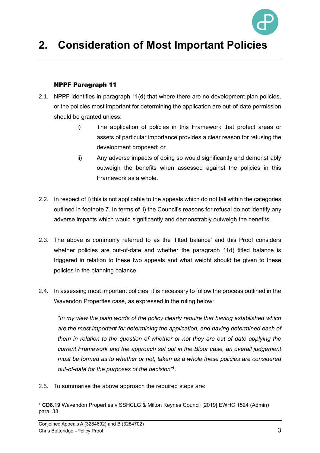

## **2. Consideration of Most Important Policies**

#### NPPF Paragraph 11

- 2.1. NPPF identifies in paragraph 11(d) that where there are no development plan policies, or the policies most important for determining the application are out-of-date permission should be granted unless:
	- i) The application of policies in this Framework that protect areas or assets of particular importance provides a clear reason for refusing the development proposed; or
	- ii) Any adverse impacts of doing so would significantly and demonstrably outweigh the benefits when assessed against the policies in this Framework as a whole.
- 2.2. In respect of i) this is not applicable to the appeals which do not fall within the categories outlined in footnote 7. In terms of ii) the Council's reasons for refusal do not identify any adverse impacts which would significantly and demonstrably outweigh the benefits.
- 2.3. The above is commonly referred to as the 'tilted balance' and this Proof considers whether policies are out-of-date and whether the paragraph 11d) titled balance is triggered in relation to these two appeals and what weight should be given to these policies in the planning balance.
- 2.4. In assessing most important policies, it is necessary to follow the process outlined in the Wavendon Properties case, as expressed in the ruling below:

*"In my view the plain words of the policy clearly require that having established which are the most important for determining the application, and having determined each of them in relation to the question of whether or not they are out of date applying the current Framework and the approach set out in the Bloor case, an overall judgement must be formed as to whether or not, taken as a whole these policies are considered out-of-date for the purposes of the decision"*<sup>1</sup> .

2.5. To summarise the above approach the required steps are:

<sup>1</sup> **CD8.19** Wavendon Properties v SSHCLG & Milton Keynes Council [2019] EWHC 1524 (Admin) para. 38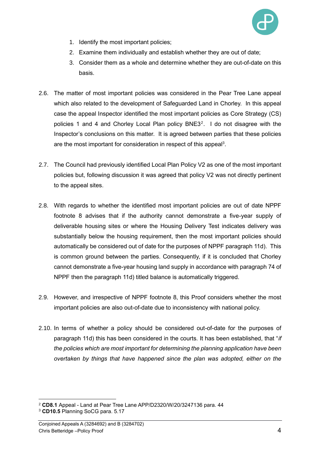

- 1. Identify the most important policies;
- 2. Examine them individually and establish whether they are out of date;
- 3. Consider them as a whole and determine whether they are out-of-date on this basis.
- 2.6. The matter of most important policies was considered in the Pear Tree Lane appeal which also related to the development of Safeguarded Land in Chorley. In this appeal case the appeal Inspector identified the most important policies as Core Strategy (CS) policies 1 and 4 and Chorley Local Plan policy  $BNE3<sup>2</sup>$ . I do not disagree with the Inspector's conclusions on this matter. It is agreed between parties that these policies are the most important for consideration in respect of this appeal<sup>3</sup>.
- 2.7. The Council had previously identified Local Plan Policy V2 as one of the most important policies but, following discussion it was agreed that policy V2 was not directly pertinent to the appeal sites.
- 2.8. With regards to whether the identified most important policies are out of date NPPF footnote 8 advises that if the authority cannot demonstrate a five-year supply of deliverable housing sites or where the Housing Delivery Test indicates delivery was substantially below the housing requirement, then the most important policies should automatically be considered out of date for the purposes of NPPF paragraph 11d). This is common ground between the parties. Consequently, if it is concluded that Chorley cannot demonstrate a five-year housing land supply in accordance with paragraph 74 of NPPF then the paragraph 11d) titled balance is automatically triggered.
- 2.9. However, and irrespective of NPPF footnote 8, this Proof considers whether the most important policies are also out-of-date due to inconsistency with national policy.
- 2.10. In terms of whether a policy should be considered out-of-date for the purposes of paragraph 11d) this has been considered in the courts. It has been established, that "*if the policies which are most important for determining the planning application have been overtaken by things that have happened since the plan was adopted, either on the*

<sup>2</sup> **CD8.1** Appeal - Land at Pear Tree Lane APP/D2320/W/20/3247136 para. 44

<sup>3</sup> **CD10.5** Planning SoCG para. 5.17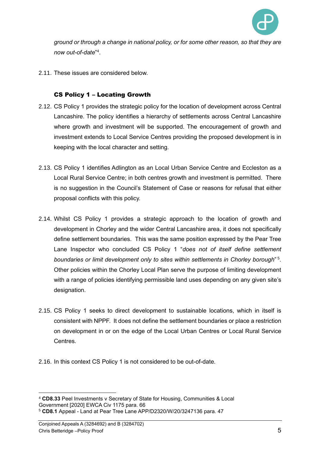

*ground or through a change in national policy, or for some other reason, so that they are now out-of-date*" 4 .

2.11. These issues are considered below.

#### CS Policy 1 – Locating Growth

- 2.12. CS Policy 1 provides the strategic policy for the location of development across Central Lancashire. The policy identifies a hierarchy of settlements across Central Lancashire where growth and investment will be supported. The encouragement of growth and investment extends to Local Service Centres providing the proposed development is in keeping with the local character and setting.
- 2.13. CS Policy 1 identifies Adlington as an Local Urban Service Centre and Eccleston as a Local Rural Service Centre; in both centres growth and investment is permitted. There is no suggestion in the Council's Statement of Case or reasons for refusal that either proposal conflicts with this policy.
- 2.14. Whilst CS Policy 1 provides a strategic approach to the location of growth and development in Chorley and the wider Central Lancashire area, it does not specifically define settlement boundaries. This was the same position expressed by the Pear Tree Lane Inspector who concluded CS Policy 1 "*does not of itself define settlement boundaries or limit development only to sites within settlements in Chorley borough*" 5 . Other policies within the Chorley Local Plan serve the purpose of limiting development with a range of policies identifying permissible land uses depending on any given site's designation.
- 2.15. CS Policy 1 seeks to direct development to sustainable locations, which in itself is consistent with NPPF. It does not define the settlement boundaries or place a restriction on development in or on the edge of the Local Urban Centres or Local Rural Service Centres.
- 2.16. In this context CS Policy 1 is not considered to be out-of-date.

<sup>4</sup> **CD8.33** Peel Investments v Secretary of State for Housing, Communities & Local Government [2020] EWCA Civ 1175 para. 66 <sup>5</sup> **CD8.1** Appeal - Land at Pear Tree Lane APP/D2320/W/20/3247136 para. 47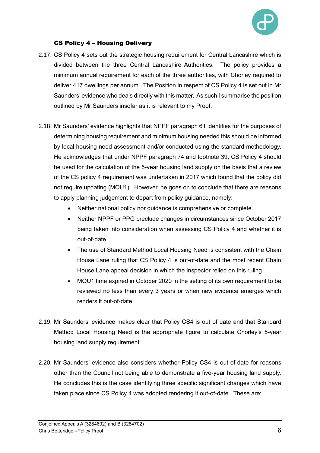

#### CS Policy 4 – Housing Delivery

- 2.17. CS Policy 4 sets out the strategic housing requirement for Central Lancashire which is divided between the three Central Lancashire Authorities. The policy provides a minimum annual requirement for each of the three authorities, with Chorley required to deliver 417 dwellings per annum. The Position in respect of CS Policy 4 is set out in Mr Saunders' evidence who deals directly with this matter. As such I summarise the position outlined by Mr Saunders insofar as it is relevant to my Proof.
- 2.18. Mr Saunders' evidence highlights that NPPF paragraph 61 identifies for the purposes of determining housing requirement and minimum housing needed this should be informed by local housing need assessment and/or conducted using the standard methodology. He acknowledges that under NPPF paragraph 74 and footnote 39, CS Policy 4 should be used for the calculation of the 5-year housing land supply on the basis that a review of the CS policy 4 requirement was undertaken in 2017 which found that the policy did not require updating (MOU1). However, he goes on to conclude that there are reasons to apply planning judgement to depart from policy guidance, namely:
	- Neither national policy nor guidance is comprehensive or complete.
	- Neither NPPF or PPG preclude changes in circumstances since October 2017 being taken into consideration when assessing CS Policy 4 and whether it is out-of-date
	- The use of Standard Method Local Housing Need is consistent with the Chain House Lane ruling that CS Policy 4 is out-of-date and the most recent Chain House Lane appeal decision in which the Inspector relied on this ruling
	- MOU1 time expired in October 2020 in the setting of its own requirement to be reviewed no less than every 3 years or when new evidence emerges which renders it out-of-date.
- 2.19. Mr Saunders' evidence makes clear that Policy CS4 is out of date and that Standard Method Local Housing Need is the appropriate figure to calculate Chorley's 5-year housing land supply requirement.
- 2.20. Mr Saunders' evidence also considers whether Policy CS4 is out-of-date for reasons other than the Council not being able to demonstrate a five-year housing land supply. He concludes this is the case identifying three specific significant changes which have taken place since CS Policy 4 was adopted rendering it out-of-date. These are: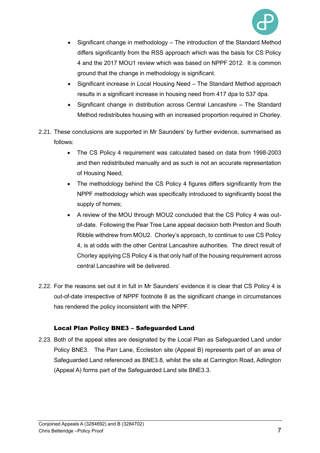

- Significant change in methodology The introduction of the Standard Method differs significantly from the RSS approach which was the basis for CS Policy 4 and the 2017 MOU1 review which was based on NPPF 2012. It is common ground that the change in methodology is significant.
- Significant increase in Local Housing Need The Standard Method approach results in a significant increase in housing need from 417 dpa to 537 dpa.
- Significant change in distribution across Central Lancashire The Standard Method redistributes housing with an increased proportion required in Chorley.
- 2.21. These conclusions are supported in Mr Saunders' by further evidence, summarised as follows:
	- The CS Policy 4 requirement was calculated based on data from 1998-2003 and then redistributed manually and as such is not an accurate representation of Housing Need;
	- The methodology behind the CS Policy 4 figures differs significantly from the NPPF methodology which was specifically introduced to significantly boost the supply of homes;
	- A review of the MOU through MOU2 concluded that the CS Policy 4 was outof-date. Following the Pear Tree Lane appeal decision both Preston and South Ribble withdrew from MOU2. Chorley's approach, to continue to use CS Policy 4, is at odds with the other Central Lancashire authorities. The direct result of Chorley applying CS Policy 4 is that only half of the housing requirement across central Lancashire will be delivered.
- 2.22. For the reasons set out it in full in Mr Saunders' evidence it is clear that CS Policy 4 is out-of-date irrespective of NPPF footnote 8 as the significant change in circumstances has rendered the policy inconsistent with the NPPF.

#### Local Plan Policy BNE3 – Safeguarded Land

2.23. Both of the appeal sites are designated by the Local Plan as Safeguarded Land under Policy BNE3. The Parr Lane, Eccleston site (Appeal B) represents part of an area of Safeguarded Land referenced as BNE3.8, whilst the site at Carrington Road, Adlington (Appeal A) forms part of the Safeguarded Land site BNE3.3.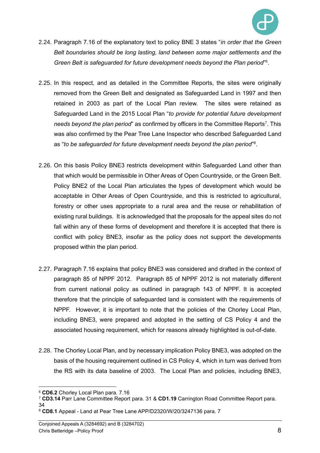

- 2.24. Paragraph 7.16 of the explanatory text to policy BNE 3 states "*in order that the Green Belt boundaries should be long lasting, land between some major settlements and the Green Belt is safeguarded for future development needs beyond the Plan period*" 6 .
- 2.25. In this respect, and as detailed in the Committee Reports, the sites were originally removed from the Green Belt and designated as Safeguarded Land in 1997 and then retained in 2003 as part of the Local Plan review. The sites were retained as Safeguarded Land in the 2015 Local Plan "*to provide for potential future development*  needs beyond the plan period" as confirmed by officers in the Committee Reports<sup>7</sup>. This was also confirmed by the Pear Tree Lane Inspector who described Safeguarded Land as "*to be safeguarded for future development needs beyond the plan period*" 8 .
- 2.26. On this basis Policy BNE3 restricts development within Safeguarded Land other than that which would be permissible in Other Areas of Open Countryside, or the Green Belt. Policy BNE2 of the Local Plan articulates the types of development which would be acceptable in Other Areas of Open Countryside, and this is restricted to agricultural, forestry or other uses appropriate to a rural area and the reuse or rehabilitation of existing rural buildings. It is acknowledged that the proposals for the appeal sites do not fall within any of these forms of development and therefore it is accepted that there is conflict with policy BNE3, insofar as the policy does not support the developments proposed within the plan period.
- 2.27. Paragraph 7.16 explains that policy BNE3 was considered and drafted in the context of paragraph 85 of NPPF 2012. Paragraph 85 of NPPF 2012 is not materially different from current national policy as outlined in paragraph 143 of NPPF. It is accepted therefore that the principle of safeguarded land is consistent with the requirements of NPPF. However, it is important to note that the policies of the Chorley Local Plan, including BNE3, were prepared and adopted in the setting of CS Policy 4 and the associated housing requirement, which for reasons already highlighted is out-of-date.
- 2.28. The Chorley Local Plan, and by necessary implication Policy BNE3, was adopted on the basis of the housing requirement outlined in CS Policy 4, which in turn was derived from the RS with its data baseline of 2003. The Local Plan and policies, including BNE3,

34

<sup>6</sup> **CD6.2** Chorley Local Plan para. 7.16

<sup>7</sup> **CD3.14** Parr Lane Committee Report para. 31 & **CD1.19** Carrington Road Committee Report para.

<sup>8</sup> **CD8.1** Appeal - Land at Pear Tree Lane APP/D2320/W/20/3247136 para. 7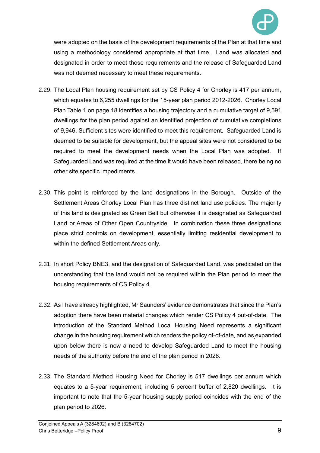

were adopted on the basis of the development requirements of the Plan at that time and using a methodology considered appropriate at that time. Land was allocated and designated in order to meet those requirements and the release of Safeguarded Land was not deemed necessary to meet these requirements.

- 2.29. The Local Plan housing requirement set by CS Policy 4 for Chorley is 417 per annum, which equates to 6,255 dwellings for the 15-year plan period 2012-2026. Chorley Local Plan Table 1 on page 18 identifies a housing trajectory and a cumulative target of 9,591 dwellings for the plan period against an identified projection of cumulative completions of 9,946. Sufficient sites were identified to meet this requirement. Safeguarded Land is deemed to be suitable for development, but the appeal sites were not considered to be required to meet the development needs when the Local Plan was adopted. If Safeguarded Land was required at the time it would have been released, there being no other site specific impediments.
- 2.30. This point is reinforced by the land designations in the Borough. Outside of the Settlement Areas Chorley Local Plan has three distinct land use policies. The majority of this land is designated as Green Belt but otherwise it is designated as Safeguarded Land or Areas of Other Open Countryside. In combination these three designations place strict controls on development, essentially limiting residential development to within the defined Settlement Areas only.
- 2.31. In short Policy BNE3, and the designation of Safeguarded Land, was predicated on the understanding that the land would not be required within the Plan period to meet the housing requirements of CS Policy 4.
- 2.32. As I have already highlighted, Mr Saunders' evidence demonstrates that since the Plan's adoption there have been material changes which render CS Policy 4 out-of-date. The introduction of the Standard Method Local Housing Need represents a significant change in the housing requirement which renders the policy of-of-date, and as expanded upon below there is now a need to develop Safeguarded Land to meet the housing needs of the authority before the end of the plan period in 2026.
- 2.33. The Standard Method Housing Need for Chorley is 517 dwellings per annum which equates to a 5-year requirement, including 5 percent buffer of 2,820 dwellings. It is important to note that the 5-year housing supply period coincides with the end of the plan period to 2026.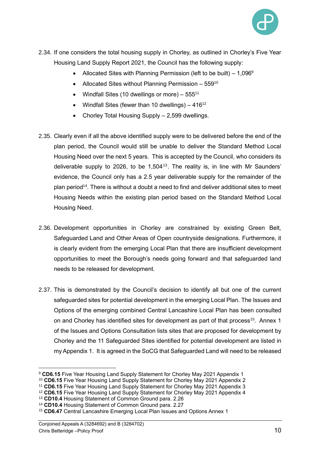

- 2.34. If one considers the total housing supply in Chorley, as outlined in Chorley's Five Year Housing Land Supply Report 2021, the Council has the following supply:
	- Allocated Sites with Planning Permission (left to be built)  $-1,096^9$
	- Allocated Sites without Planning Permission 559<sup>10</sup>
	- Windfall Sites (10 dwellings or more)  $-555^{11}$
	- Windfall Sites (fewer than 10 dwellings)  $-416^{12}$
	- Chorley Total Housing Supply 2,599 dwellings.
- 2.35. Clearly even if all the above identified supply were to be delivered before the end of the plan period, the Council would still be unable to deliver the Standard Method Local Housing Need over the next 5 years. This is accepted by the Council, who considers its deliverable supply to 2026, to be  $1,504^{13}$ . The reality is, in line with Mr Saunders' evidence, the Council only has a 2.5 year deliverable supply for the remainder of the plan period<sup>14</sup>. There is without a doubt a need to find and deliver additional sites to meet Housing Needs within the existing plan period based on the Standard Method Local Housing Need.
- 2.36. Development opportunities in Chorley are constrained by existing Green Belt, Safeguarded Land and Other Areas of Open countryside designations. Furthermore, it is clearly evident from the emerging Local Plan that there are insufficient development opportunities to meet the Borough's needs going forward and that safeguarded land needs to be released for development.
- 2.37. This is demonstrated by the Council's decision to identify all but one of the current safeguarded sites for potential development in the emerging Local Plan. The Issues and Options of the emerging combined Central Lancashire Local Plan has been consulted on and Chorley has identified sites for development as part of that process<sup>15</sup>. Annex 1 of the Issues and Options Consultation lists sites that are proposed for development by Chorley and the 11 Safeguarded Sites identified for potential development are listed in my Appendix 1. It is agreed in the SoCG that Safeguarded Land will need to be released

<sup>9</sup> **CD6.15** Five Year Housing Land Supply Statement for Chorley May 2021 Appendix 1

<sup>10</sup> **CD6.15** Five Year Housing Land Supply Statement for Chorley May 2021 Appendix 2

<sup>11</sup> **CD6.15** Five Year Housing Land Supply Statement for Chorley May 2021 Appendix 3

<sup>12</sup> **CD6.15** Five Year Housing Land Supply Statement for Chorley May 2021 Appendix 4

<sup>13</sup> **CD10.4** Housing Statement of Common Ground para. 2.26

<sup>14</sup> **CD10.4** Housing Statement of Common Ground para. 2.27

<sup>15</sup> **CD6.47** Central Lancashire Emerging Local Plan Issues and Options Annex 1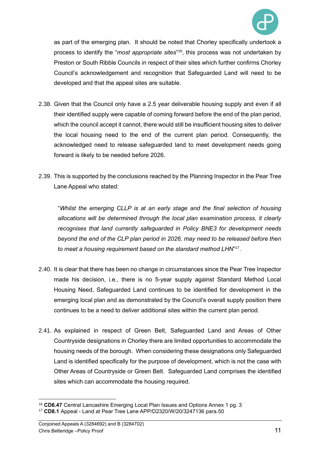

as part of the emerging plan. It should be noted that Chorley specifically undertook a process to identify the "*most appropriate sites*" <sup>16</sup>, this process was not undertaken by Preston or South Ribble Councils in respect of their sites which further confirms Chorley Council's acknowledgement and recognition that Safeguarded Land will need to be developed and that the appeal sites are suitable.

- 2.38. Given that the Council only have a 2.5 year deliverable housing supply and even if all their identified supply were capable of coming forward before the end of the plan period, which the council accept it cannot, there would still be insufficient housing sites to deliver the local housing need to the end of the current plan period. Consequently, the acknowledged need to release safeguarded land to meet development needs going forward is likely to be needed before 2026.
- 2.39. This is supported by the conclusions reached by the Planning Inspector in the Pear Tree Lane Appeal who stated:

"*Whilst the emerging CLLP is at an early stage and the final selection of housing allocations will be determined through the local plan examination process, it clearly recognises that land currently safeguarded in Policy BNE3 for development needs beyond the end of the CLP plan period in 2026, may need to be released before then to meet a housing requirement based on the standard method LHN*" 17 .

- 2.40. It is clear that there has been no change in circumstances since the Pear Tree Inspector made his decision, i.e., there is no 5-year supply against Standard Method Local Housing Need, Safeguarded Land continues to be identified for development in the emerging local plan and as demonstrated by the Council's overall supply position there continues to be a need to deliver additional sites within the current plan period.
- 2.41. As explained in respect of Green Belt, Safeguarded Land and Areas of Other Countryside designations in Chorley there are limited opportunities to accommodate the housing needs of the borough. When considering these designations only Safeguarded Land is identified specifically for the purpose of development, which is not the case with Other Areas of Countryside or Green Belt. Safeguarded Land comprises the identified sites which can accommodate the housing required.

<sup>16</sup> **CD6.47** Central Lancashire Emerging Local Plan Issues and Options Annex 1 pg. 3

<sup>17</sup> **CD8.1** Appeal - Land at Pear Tree Lane APP/D2320/W/20/3247136 para.50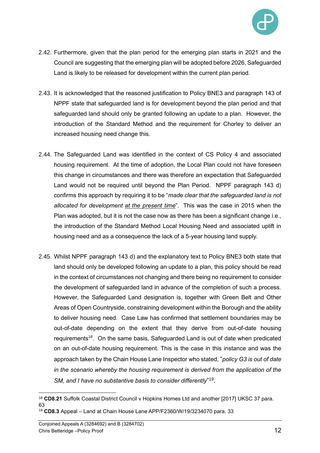

- 2.42. Furthermore, given that the plan period for the emerging plan starts in 2021 and the Council are suggesting that the emerging plan will be adopted before 2026, Safeguarded Land is likely to be released for development within the current plan period.
- 2.43. It is acknowledged that the reasoned justification to Policy BNE3 and paragraph 143 of NPPF state that safeguarded land is for development beyond the plan period and that safeguarded land should only be granted following an update to a plan. However, the introduction of the Standard Method and the requirement for Chorley to deliver an increased housing need change this.
- 2.44. The Safeguarded Land was identified in the context of CS Policy 4 and associated housing requirement. At the time of adoption, the Local Plan could not have foreseen this change in circumstances and there was therefore an expectation that Safeguarded Land would not be required until beyond the Plan Period. NPPF paragraph 143 d) confirms this approach by requiring it to be "*made clear that the safeguarded land is not allocated for development at the present time*". This was the case in 2015 when the Plan was adopted, but it is not the case now as there has been a significant change i.e., the introduction of the Standard Method Local Housing Need and associated uplift in housing need and as a consequence the lack of a 5-year housing land supply.
- 2.45. Whilst NPPF paragraph 143 d) and the explanatory text to Policy BNE3 both state that land should only be developed following an update to a plan, this policy should be read in the context of circumstances not changing and there being no requirement to consider the development of safeguarded land in advance of the completion of such a process. However, the Safeguarded Land designation is, together with Green Belt and Other Areas of Open Countryside, constraining development within the Borough and the ability to deliver housing need. Case Law has confirmed that settlement boundaries may be out-of-date depending on the extent that they derive from out-of-date housing requirements<sup>18</sup>. On the same basis, Safeguarded Land is out of date when predicated on an out-of-date housing requirement. This is the case in this instance and was the approach taken by the Chain House Lane Inspector who stated, "*policy G3 is out of date in the scenario whereby the housing requirement is derived from the application of the SM, and I have no substantive basis to consider differently*" 19 .

<sup>18</sup> **CD8.21** Suffolk Coastal District Council v Hopkins Homes Ltd and another [2017] UKSC 37 para. 63 <sup>19</sup> **CD8.3** Appeal – Land at Chain House Lane APP/F2360/W/19/3234070 para. 33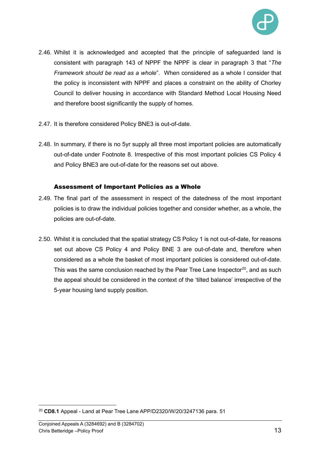

- 2.46. Whilst it is acknowledged and accepted that the principle of safeguarded land is consistent with paragraph 143 of NPPF the NPPF is clear in paragraph 3 that "*The Framework should be read as a whole*". When considered as a whole I consider that the policy is inconsistent with NPPF and places a constraint on the ability of Chorley Council to deliver housing in accordance with Standard Method Local Housing Need and therefore boost significantly the supply of homes.
- 2.47. It is therefore considered Policy BNE3 is out-of-date.
- 2.48. In summary, if there is no 5yr supply all three most important policies are automatically out-of-date under Footnote 8. Irrespective of this most important policies CS Policy 4 and Policy BNE3 are out-of-date for the reasons set out above.

#### Assessment of Important Policies as a Whole

- 2.49. The final part of the assessment in respect of the datedness of the most important policies is to draw the individual policies together and consider whether, as a whole, the policies are out-of-date.
- 2.50. Whilst it is concluded that the spatial strategy CS Policy 1 is not out-of-date, for reasons set out above CS Policy 4 and Policy BNE 3 are out-of-date and, therefore when considered as a whole the basket of most important policies is considered out-of-date. This was the same conclusion reached by the Pear Tree Lane Inspector<sup>20</sup>, and as such the appeal should be considered in the context of the 'tilted balance' irrespective of the 5-year housing land supply position.

<sup>20</sup> **CD8.1** Appeal - Land at Pear Tree Lane APP/D2320/W/20/3247136 para. 51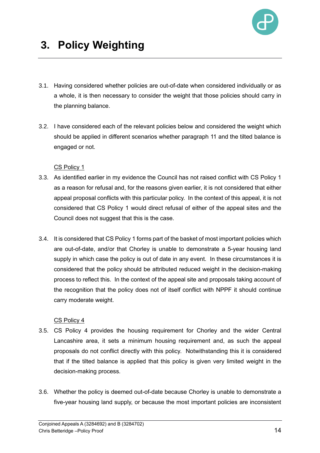

## **3. Policy Weighting**

- 3.1. Having considered whether policies are out-of-date when considered individually or as a whole, it is then necessary to consider the weight that those policies should carry in the planning balance.
- 3.2. I have considered each of the relevant policies below and considered the weight which should be applied in different scenarios whether paragraph 11 and the tilted balance is engaged or not.

#### CS Policy 1

- 3.3. As identified earlier in my evidence the Council has not raised conflict with CS Policy 1 as a reason for refusal and, for the reasons given earlier, it is not considered that either appeal proposal conflicts with this particular policy. In the context of this appeal, it is not considered that CS Policy 1 would direct refusal of either of the appeal sites and the Council does not suggest that this is the case.
- 3.4. It is considered that CS Policy 1 forms part of the basket of most important policies which are out-of-date, and/or that Chorley is unable to demonstrate a 5-year housing land supply in which case the policy is out of date in any event. In these circumstances it is considered that the policy should be attributed reduced weight in the decision-making process to reflect this. In the context of the appeal site and proposals taking account of the recognition that the policy does not of itself conflict with NPPF it should continue carry moderate weight.

#### CS Policy 4

- 3.5. CS Policy 4 provides the housing requirement for Chorley and the wider Central Lancashire area, it sets a minimum housing requirement and, as such the appeal proposals do not conflict directly with this policy. Notwithstanding this it is considered that if the tilted balance is applied that this policy is given very limited weight in the decision-making process.
- 3.6. Whether the policy is deemed out-of-date because Chorley is unable to demonstrate a five-year housing land supply, or because the most important policies are inconsistent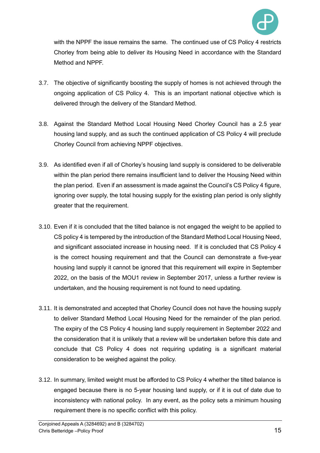

with the NPPF the issue remains the same. The continued use of CS Policy 4 restricts Chorley from being able to deliver its Housing Need in accordance with the Standard Method and NPPF.

- 3.7. The objective of significantly boosting the supply of homes is not achieved through the ongoing application of CS Policy 4. This is an important national objective which is delivered through the delivery of the Standard Method.
- 3.8. Against the Standard Method Local Housing Need Chorley Council has a 2.5 year housing land supply, and as such the continued application of CS Policy 4 will preclude Chorley Council from achieving NPPF objectives.
- 3.9. As identified even if all of Chorley's housing land supply is considered to be deliverable within the plan period there remains insufficient land to deliver the Housing Need within the plan period. Even if an assessment is made against the Council's CS Policy 4 figure, ignoring over supply, the total housing supply for the existing plan period is only slightly greater that the requirement.
- 3.10. Even if it is concluded that the tilted balance is not engaged the weight to be applied to CS policy 4 is tempered by the introduction of the Standard Method Local Housing Need, and significant associated increase in housing need. If it is concluded that CS Policy 4 is the correct housing requirement and that the Council can demonstrate a five-year housing land supply it cannot be ignored that this requirement will expire in September 2022, on the basis of the MOU1 review in September 2017, unless a further review is undertaken, and the housing requirement is not found to need updating.
- 3.11. It is demonstrated and accepted that Chorley Council does not have the housing supply to deliver Standard Method Local Housing Need for the remainder of the plan period. The expiry of the CS Policy 4 housing land supply requirement in September 2022 and the consideration that it is unlikely that a review will be undertaken before this date and conclude that CS Policy 4 does not requiring updating is a significant material consideration to be weighed against the policy.
- 3.12. In summary, limited weight must be afforded to CS Policy 4 whether the tilted balance is engaged because there is no 5-year housing land supply, or if it is out of date due to inconsistency with national policy. In any event, as the policy sets a minimum housing requirement there is no specific conflict with this policy.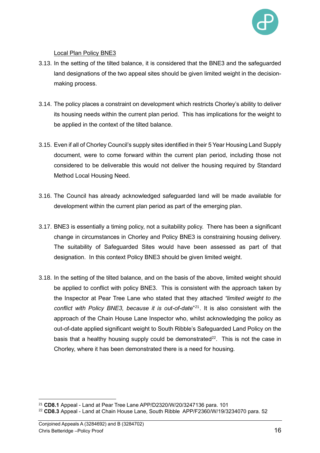

#### Local Plan Policy BNE3

- 3.13. In the setting of the tilted balance, it is considered that the BNE3 and the safeguarded land designations of the two appeal sites should be given limited weight in the decisionmaking process.
- 3.14. The policy places a constraint on development which restricts Chorley's ability to deliver its housing needs within the current plan period. This has implications for the weight to be applied in the context of the tilted balance.
- 3.15. Even if all of Chorley Council's supply sites identified in their 5 Year Housing Land Supply document, were to come forward within the current plan period, including those not considered to be deliverable this would not deliver the housing required by Standard Method Local Housing Need.
- 3.16. The Council has already acknowledged safeguarded land will be made available for development within the current plan period as part of the emerging plan.
- 3.17. BNE3 is essentially a timing policy, not a suitability policy. There has been a significant change in circumstances in Chorley and Policy BNE3 is constraining housing delivery. The suitability of Safeguarded Sites would have been assessed as part of that designation. In this context Policy BNE3 should be given limited weight.
- 3.18. In the setting of the tilted balance, and on the basis of the above, limited weight should be applied to conflict with policy BNE3. This is consistent with the approach taken by the Inspector at Pear Tree Lane who stated that they attached *"limited weight to the conflict with Policy BNE3, because it is out-of-date*" <sup>21</sup> . It is also consistent with the approach of the Chain House Lane Inspector who, whilst acknowledging the policy as out-of-date applied significant weight to South Ribble's Safeguarded Land Policy on the basis that a healthy housing supply could be demonstrated $^{22}$ . This is not the case in Chorley, where it has been demonstrated there is a need for housing.

<sup>21</sup> **CD8.1** Appeal - Land at Pear Tree Lane APP/D2320/W/20/3247136 para. 101

<sup>22</sup> **CD8.3** Appeal - Land at Chain House Lane, South Ribble APP/F2360/W/19/3234070 para. 52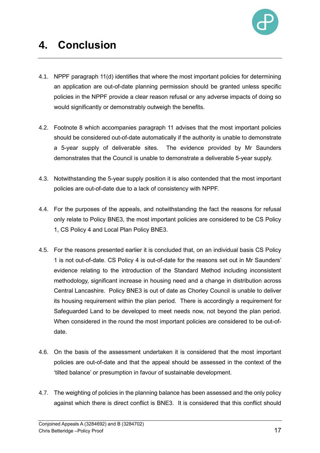

## **4. Conclusion**

- 4.1. NPPF paragraph 11(d) identifies that where the most important policies for determining an application are out-of-date planning permission should be granted unless specific policies in the NPPF provide a clear reason refusal or any adverse impacts of doing so would significantly or demonstrably outweigh the benefits.
- 4.2. Footnote 8 which accompanies paragraph 11 advises that the most important policies should be considered out-of-date automatically if the authority is unable to demonstrate a 5-year supply of deliverable sites. The evidence provided by Mr Saunders demonstrates that the Council is unable to demonstrate a deliverable 5-year supply.
- 4.3. Notwithstanding the 5-year supply position it is also contended that the most important policies are out-of-date due to a lack of consistency with NPPF.
- 4.4. For the purposes of the appeals, and notwithstanding the fact the reasons for refusal only relate to Policy BNE3, the most important policies are considered to be CS Policy 1, CS Policy 4 and Local Plan Policy BNE3.
- 4.5. For the reasons presented earlier it is concluded that, on an individual basis CS Policy 1 is not out-of-date. CS Policy 4 is out-of-date for the reasons set out in Mr Saunders' evidence relating to the introduction of the Standard Method including inconsistent methodology, significant increase in housing need and a change in distribution across Central Lancashire. Policy BNE3 is out of date as Chorley Council is unable to deliver its housing requirement within the plan period. There is accordingly a requirement for Safeguarded Land to be developed to meet needs now, not beyond the plan period. When considered in the round the most important policies are considered to be out-ofdate.
- 4.6. On the basis of the assessment undertaken it is considered that the most important policies are out-of-date and that the appeal should be assessed in the context of the 'tilted balance' or presumption in favour of sustainable development.
- 4.7. The weighting of policies in the planning balance has been assessed and the only policy against which there is direct conflict is BNE3. It is considered that this conflict should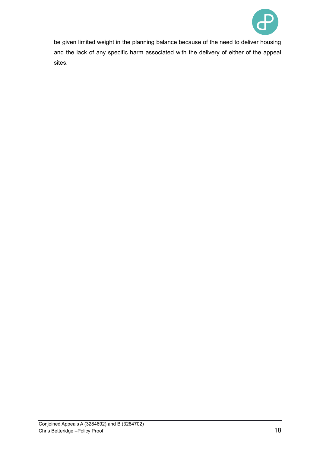

be given limited weight in the planning balance because of the need to deliver housing and the lack of any specific harm associated with the delivery of either of the appeal sites.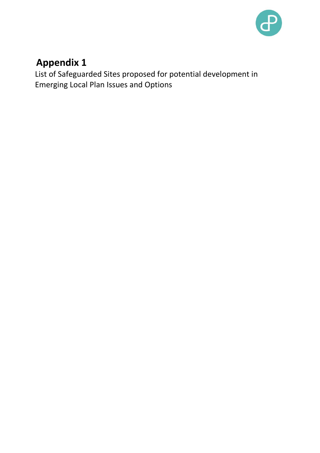

### **Appendix 1**

List of Safeguarded Sites proposed for potential development in Emerging Local Plan Issues and Options